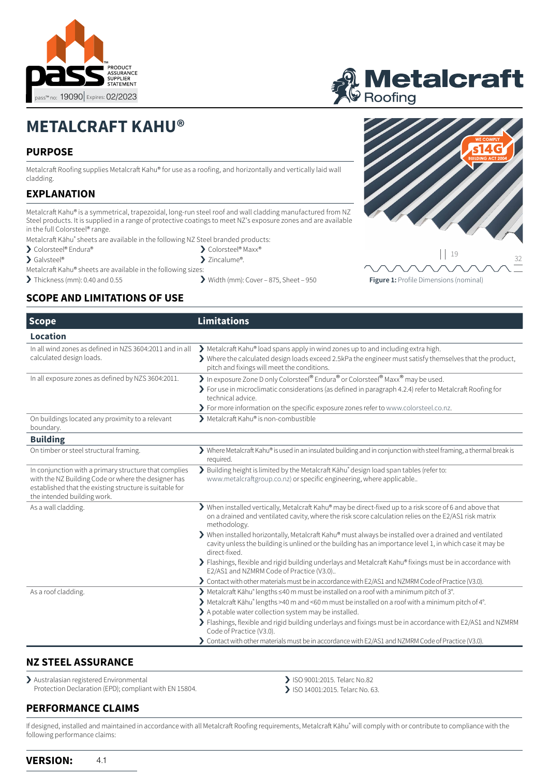



# **METALCRAFT KAHU®**

# **PURPOSE**

Metalcraft Roofing supplies Metalcraft Kahu® for use as a roofing, and horizontally and vertically laid wall cladding.

# **EXPLANATION**

Metalcraft Kahu® is a symmetrical, trapezoidal, long-run steel roof and wall cladding manufactured from NZ Steel products. It is supplied in a range of protective coatings to meet NZ's exposure zones and are available in the full Colorsteel® range.

- Metalcraft Kāhu® sheets are available in the following NZ Steel branded products:
- > Colorsteel® Endura®
- > Galvsteel®
- Metalcraft Kahu® sheets are available in the following sizes:
- 
- > Zincalume®.
- > Thickness (mm): 0.40 and 0.55 > Width (mm): Cover 875, Sheet 950



**Figure 1:** Profile Dimensions (nominal)

# **SCOPE AND LIMITATIONS OF USE**

| <b>Scope</b>                                                                                                                                                                                           | <b>Limitations</b>                                                                                                                                                                                                                                                                                      |
|--------------------------------------------------------------------------------------------------------------------------------------------------------------------------------------------------------|---------------------------------------------------------------------------------------------------------------------------------------------------------------------------------------------------------------------------------------------------------------------------------------------------------|
| <b>Location</b>                                                                                                                                                                                        |                                                                                                                                                                                                                                                                                                         |
| In all wind zones as defined in NZS 3604:2011 and in all<br>calculated design loads.                                                                                                                   | > Metalcraft Kahu® load spans apply in wind zones up to and including extra high.<br>> Where the calculated design loads exceed 2.5kPa the engineer must satisfy themselves that the product,<br>pitch and fixings will meet the conditions.                                                            |
| In all exposure zones as defined by NZS 3604:2011.                                                                                                                                                     | In exposure Zone D only Colorsteel® Endura® or Colorsteel® Maxx® may be used.<br>> For use in microclimatic considerations (as defined in paragraph 4.2.4) refer to Metalcraft Roofing for<br>technical advice.<br>> For more information on the specific exposure zones refer to www.colorsteel.co.nz. |
| On buildings located any proximity to a relevant<br>boundary.                                                                                                                                          | Metalcraft Kahu® is non-combustible                                                                                                                                                                                                                                                                     |
| <b>Building</b>                                                                                                                                                                                        |                                                                                                                                                                                                                                                                                                         |
| On timber or steel structural framing.                                                                                                                                                                 | > Where Metalcraft Kahu® is used in an insulated building and in conjunction with steel framing, a thermal break is<br>required.                                                                                                                                                                        |
| In conjunction with a primary structure that complies<br>with the NZ Building Code or where the designer has<br>established that the existing structure is suitable for<br>the intended building work. | > Building height is limited by the Metalcraft Kāhu® design load span tables (refer to:<br>www.metalcraftgroup.co.nz) or specific engineering, where applicable                                                                                                                                         |
| As a wall cladding.                                                                                                                                                                                    | > When installed vertically, Metalcraft Kahu® may be direct-fixed up to a risk score of 6 and above that<br>on a drained and ventilated cavity, where the risk score calculation relies on the E2/AS1 risk matrix<br>methodology.                                                                       |
|                                                                                                                                                                                                        | > When installed horizontally, Metalcraft Kahu® must always be installed over a drained and ventilated<br>cavity unless the building is unlined or the building has an importance level 1, in which case it may be<br>direct-fixed.                                                                     |
|                                                                                                                                                                                                        | > Flashings, flexible and rigid building underlays and Metalcraft Kahu® fixings must be in accordance with<br>E2/AS1 and NZMRM Code of Practice (V3.0)                                                                                                                                                  |
|                                                                                                                                                                                                        | > Contact with other materials must be in accordance with E2/AS1 and NZMRM Code of Practice (V3.0).                                                                                                                                                                                                     |
| As a roof cladding.                                                                                                                                                                                    | ▶ Metalcraft Kāhu® lengths ≤40 m must be installed on a roof with a minimum pitch of 3°.                                                                                                                                                                                                                |
|                                                                                                                                                                                                        | > Metalcraft Kāhu <sup>®</sup> lengths >40 m and <60 m must be installed on a roof with a minimum pitch of 4°.                                                                                                                                                                                          |
|                                                                                                                                                                                                        | > A potable water collection system may be installed.                                                                                                                                                                                                                                                   |
|                                                                                                                                                                                                        | > Flashings, flexible and rigid building underlays and fixings must be in accordance with E2/AS1 and NZMRM<br>Code of Practice (V3.0).                                                                                                                                                                  |
|                                                                                                                                                                                                        | > Contact with other materials must be in accordance with E2/AS1 and NZMRM Code of Practice (V3.0).                                                                                                                                                                                                     |

# **NZ STEEL ASSURANCE**

> Australasian registered Environmental Protection Declaration (EPD); compliant with EN 15804.

# **PERFORMANCE CLAIMS**

> ISO 9001:2015. Telarc No.82

> ISO 14001:2015. Telarc No. 63.

If designed, installed and maintained in accordance with all Metalcraft Roofing requirements, Metalcraft Kāhu® will comply with or contribute to compliance with the following performance claims: